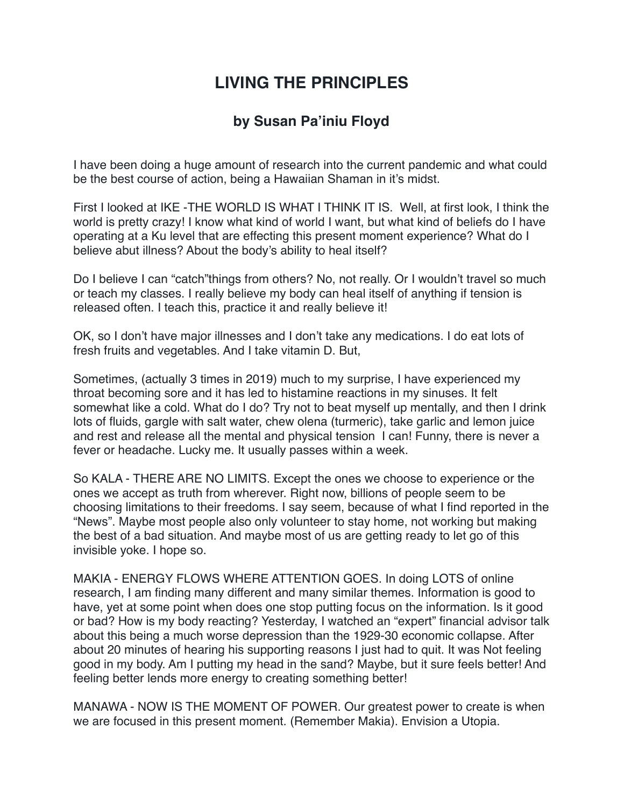## **LIVING THE PRINCIPLES**

## **by Susan Pa'iniu Floyd**

I have been doing a huge amount of research into the current pandemic and what could be the best course of action, being a Hawaiian Shaman in it's midst.

First I looked at IKE -THE WORLD IS WHAT I THINK IT IS. Well, at first look, I think the world is pretty crazy! I know what kind of world I want, but what kind of beliefs do I have operating at a Ku level that are effecting this present moment experience? What do I believe abut illness? About the body's ability to heal itself?

Do I believe I can "catch"things from others? No, not really. Or I wouldn't travel so much or teach my classes. I really believe my body can heal itself of anything if tension is released often. I teach this, practice it and really believe it!

OK, so I don't have major illnesses and I don't take any medications. I do eat lots of fresh fruits and vegetables. And I take vitamin D. But,

Sometimes, (actually 3 times in 2019) much to my surprise, I have experienced my throat becoming sore and it has led to histamine reactions in my sinuses. It felt somewhat like a cold. What do I do? Try not to beat myself up mentally, and then I drink lots of fluids, gargle with salt water, chew olena (turmeric), take garlic and lemon juice and rest and release all the mental and physical tension I can! Funny, there is never a fever or headache. Lucky me. It usually passes within a week.

So KALA - THERE ARE NO LIMITS. Except the ones we choose to experience or the ones we accept as truth from wherever. Right now, billions of people seem to be choosing limitations to their freedoms. I say seem, because of what I find reported in the "News". Maybe most people also only volunteer to stay home, not working but making the best of a bad situation. And maybe most of us are getting ready to let go of this invisible yoke. I hope so.

MAKIA - ENERGY FLOWS WHERE ATTENTION GOES. In doing LOTS of online research, I am finding many different and many similar themes. Information is good to have, yet at some point when does one stop putting focus on the information. Is it good or bad? How is my body reacting? Yesterday, I watched an "expert" financial advisor talk about this being a much worse depression than the 1929-30 economic collapse. After about 20 minutes of hearing his supporting reasons I just had to quit. It was Not feeling good in my body. Am I putting my head in the sand? Maybe, but it sure feels better! And feeling better lends more energy to creating something better!

MANAWA - NOW IS THE MOMENT OF POWER. Our greatest power to create is when we are focused in this present moment. (Remember Makia). Envision a Utopia.